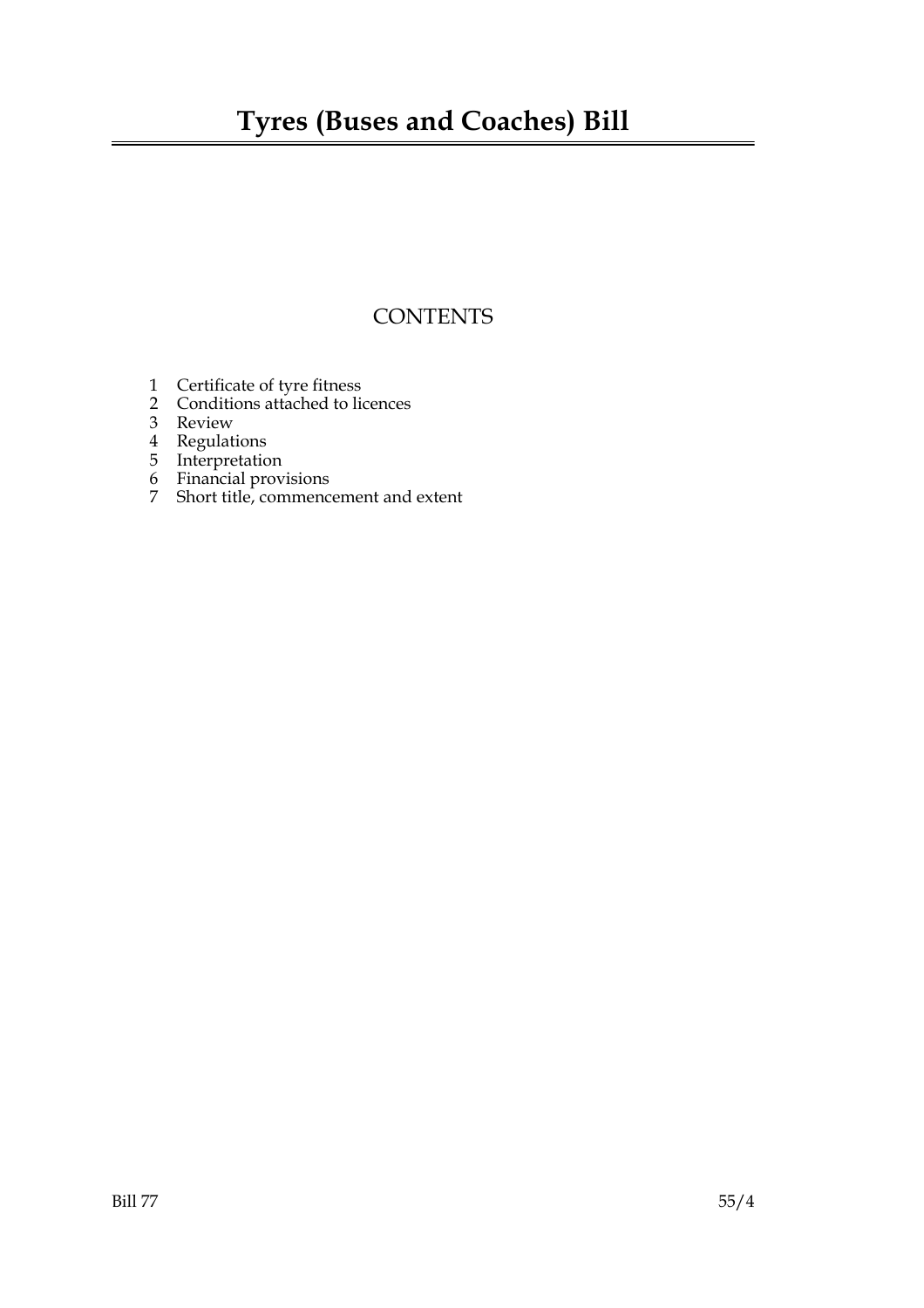## **CONTENTS**

- 1 Certificate of tyre fitness
- 2 Conditions attached to licences
- 3 Review
- 4 Regulations
- 5 Interpretation
- 6 Financial provisions
- 7 Short title, commencement and extent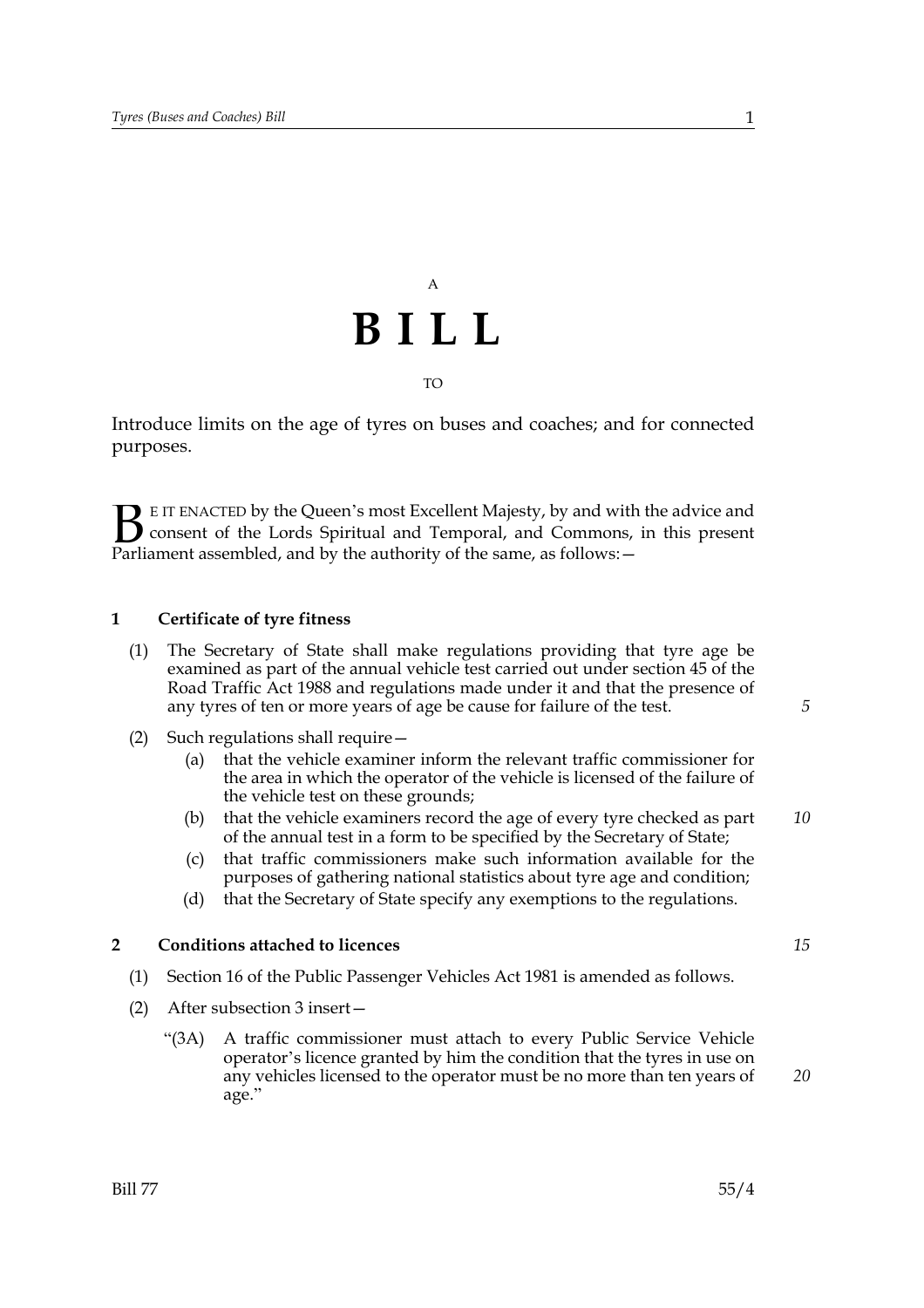# A **BILL** TO

Introduce limits on the age of tyres on buses and coaches; and for connected purposes.

E IT ENACTED by the Queen's most Excellent Majesty, by and with the advice and consent of the Lords Spiritual and Temporal, and Commons, in this present **B** E IT ENACTED by the Queen's most Excellent Majesty, by and with consent of the Lords Spiritual and Temporal, and Commons, Parliament assembled, and by the authority of the same, as follows:  $-$ 

### **1 Certificate of tyre fitness**

- (1) The Secretary of State shall make regulations providing that tyre age be examined as part of the annual vehicle test carried out under section 45 of the Road Traffic Act 1988 and regulations made under it and that the presence of any tyres of ten or more years of age be cause for failure of the test.
- (2) Such regulations shall require—
	- (a) that the vehicle examiner inform the relevant traffic commissioner for the area in which the operator of the vehicle is licensed of the failure of the vehicle test on these grounds;
	- (b) that the vehicle examiners record the age of every tyre checked as part of the annual test in a form to be specified by the Secretary of State;
	- (c) that traffic commissioners make such information available for the purposes of gathering national statistics about tyre age and condition;
	- (d) that the Secretary of State specify any exemptions to the regulations.

### **2 Conditions attached to licences**

- (1) Section 16 of the Public Passenger Vehicles Act 1981 is amended as follows.
- (2) After subsection 3 insert—
	- "(3A) A traffic commissioner must attach to every Public Service Vehicle operator's licence granted by him the condition that the tyres in use on any vehicles licensed to the operator must be no more than ten years of age."

*20*

*15*

*5*

*10*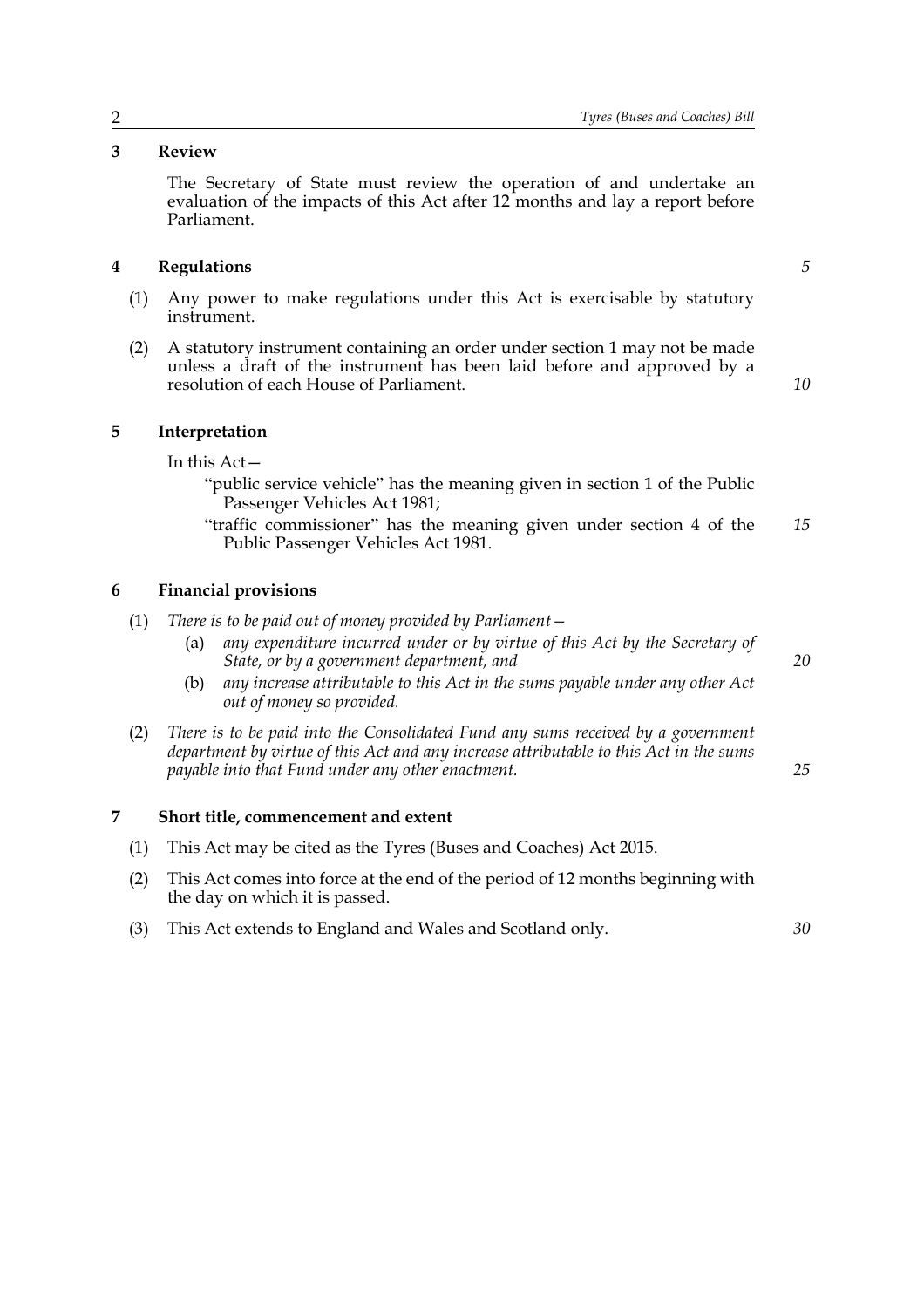### **3 Review**

The Secretary of State must review the operation of and undertake an evaluation of the impacts of this Act after 12 months and lay a report before Parliament.

### **4 Regulations**

- (1) Any power to make regulations under this Act is exercisable by statutory instrument.
- (2) A statutory instrument containing an order under section 1 may not be made unless a draft of the instrument has been laid before and approved by a resolution of each House of Parliament.

#### **5 Interpretation**

In this Act—

- "public service vehicle" has the meaning given in section 1 of the Public Passenger Vehicles Act 1981;
- "traffic commissioner" has the meaning given under section 4 of the Public Passenger Vehicles Act 1981. *15*

### **6 Financial provisions**

- (1) *There is to be paid out of money provided by Parliament—*
	- (a) *any expenditure incurred under or by virtue of this Act by the Secretary of State, or by a government department, and*
	- (b) *any increase attributable to this Act in the sums payable under any other Act out of money so provided.*
- (2) *There is to be paid into the Consolidated Fund any sums received by a government department by virtue of this Act and any increase attributable to this Act in the sums payable into that Fund under any other enactment.*

#### **7 Short title, commencement and extent**

- (1) This Act may be cited as the Tyres (Buses and Coaches) Act 2015.
- (2) This Act comes into force at the end of the period of 12 months beginning with the day on which it is passed.
- (3) This Act extends to England and Wales and Scotland only.

*5*

*10*

*20*

*25*

*30*